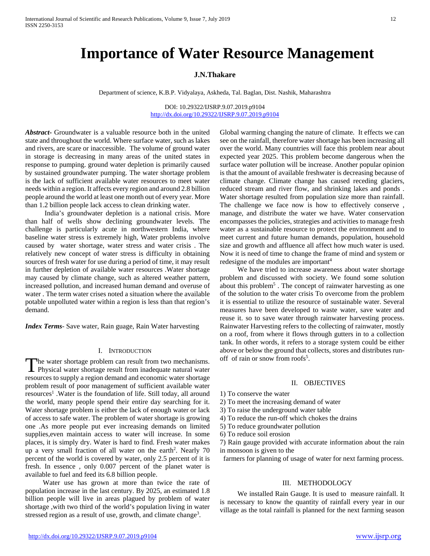# **Importance of Water Resource Management**

# **J.N.Thakare**

Department of science, K.B.P. Vidyalaya, Askheda, Tal. Baglan, Dist. Nashik, Maharashtra

DOI: 10.29322/IJSRP.9.07.2019.p9104 <http://dx.doi.org/10.29322/IJSRP.9.07.2019.p9104>

*Abstract***-** Groundwater is a valuable resource both in the united state and throughout the world. Where surface water, such as lakes and rivers, are scare or inaccessible. The volume of ground water in storage is decreasing in many areas of the united states in response to pumping. ground water depletion is primarily caused by sustained groundwater pumping. The water shortage problem is the lack of sufficient available water resources to meet water needs within a region. It affects every region and around 2.8 billion people around the world at least one month out of every year. More than 1.2 billion people lack access to clean drinking water.

 India's groundwater depletion is a national crisis. More than half of wells show declining groundwater levels. The challenge is particularly acute in northwestern India, where baseline water stress is extremely high, Water problems involve caused by water shortage, water stress and water crisis . The relatively new concept of water stress is difficulty in obtaining sources of fresh water for use during a period of time, it may result in further depletion of available water resources .Water shortage may caused by climate change, such as altered weather pattern, increased pollution, and increased human demand and overuse of water . The term water crises noted a situation where the available potable unpolluted water within a region is less than that region's demand.

*Index Terms*- Save water, Rain guage, Rain Water harvesting

#### I. INTRODUCTION

he water shortage problem can result from two mechanisms. The water shortage problem can result from two mechanisms.<br>Physical water shortage result from inadequate natural water resources to supply a region demand and economic water shortage problem result of poor management of sufficient available water resources<sup>1</sup>. Water is the foundation of life. Still today, all around the world, many people spend their entire day searching for it. Water shortage problem is either the lack of enough water or lack of access to safe water. The problem of water shortage is growing one .As more people put ever increasing demands on limited supplies,even maintain access to water will increase. In some places, it is simply dry. Water is hard to find. Fresh water makes up a very small fraction of all water on the earth<sup>2</sup>. Nearly 70 percent of the world is covered by water, only 2.5 percent of it is fresh. In essence , only 0.007 percent of the planet water is available to fuel and feed its 6.8 billion people.

 Water use has grown at more than twice the rate of population increase in the last century. By 2025, an estimated 1.8 billion people will live in areas plagued by problem of water shortage ,with two third of the world's population living in water stressed region as a result of use, growth, and climate change<sup>3</sup>.

Global warming changing the nature of climate. It effects we can see on the rainfall, therefore water shortage has been increasing all over the world. Many countries will face this problem near about expected year 2025. This problem become dangerous when the surface water pollution will be increase. Another popular opinion is that the amount of available freshwater is decreasing because of climate change. Climate change has caused receding glaciers, reduced stream and river flow, and shrinking lakes and ponds . Water shortage resulted from population size more than rainfall. The challenge we face now is how to effectively conserve , manage, and distribute the water we have. Water conservation encompasses the policies, strategies and activities to manage fresh water as a sustainable resource to protect the environment and to meet current and future human demands, population, household size and growth and affluence all affect how much water is used. Now it is need of time to change the frame of mind and system or redesigne of the modules are important<sup>4</sup>

 We have tried to increase awareness about water shortage problem and discussed with society. We found some solution about this problem<sup>5</sup>. The concept of rainwater harvesting as one of the solution to the water crisis To overcome from the problem it is essential to utilize the resource of sustainable water. Several measures have been developed to waste water, save water and reuse it. so to save water through rainwater harvesting process. Rainwater Harvesting refers to the collecting of rainwater, mostly on a roof, from where it flows through gutters in to a collection tank. In other words, it refers to a storage system could be either above or below the ground that collects, stores and distributes runoff of rain or snow from roofs<sup>5</sup>.

#### II. OBJECTIVES

- 1) To conserve the water
- 2) To meet the increasing demand of water
- 3) To raise the underground water table
- 4) To reduce the run-off which chokes the drains
- 5) To reduce groundwater pollution
- 6) To reduce soil erosion

7) Rain gauge provided with accurate information about the rain in monsoon is given to the

farmers for planning of usage of water for next farming process.

### III. METHODOLOGY

 We installed Rain Gauge. It is used to measure rainfall. It is necessary to know the quantity of rainfall every year in our village as the total rainfall is planned for the next farming season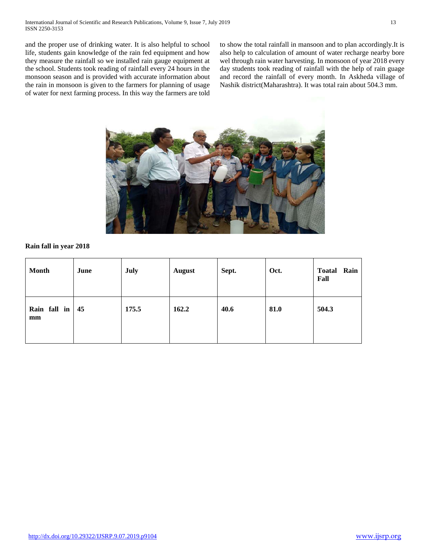and the proper use of drinking water. It is also helpful to school life, students gain knowledge of the rain fed equipment and how they measure the rainfall so we installed rain gauge equipment at the school. Students took reading of rainfall every 24 hours in the monsoon season and is provided with accurate information about the rain in monsoon is given to the farmers for planning of usage of water for next farming process. In this way the farmers are told to show the total rainfall in mansoon and to plan accordingly.It is also help to calculation of amount of water recharge nearby bore wel through rain water harvesting. In monsoon of year 2018 every day students took reading of rainfall with the help of rain guage and record the rainfall of every month. In Askheda village of Nashik district(Maharashtra). It was total rain about 504.3 mm.



## **Rain fall in year 2018**

| <b>Month</b>       | June | July  | <b>August</b> | Sept. | Oct. | <b>Toatal Rain</b><br>Fall |
|--------------------|------|-------|---------------|-------|------|----------------------------|
| Rain fall in<br>mm | 45   | 175.5 | 162.2         | 40.6  | 81.0 | 504.3                      |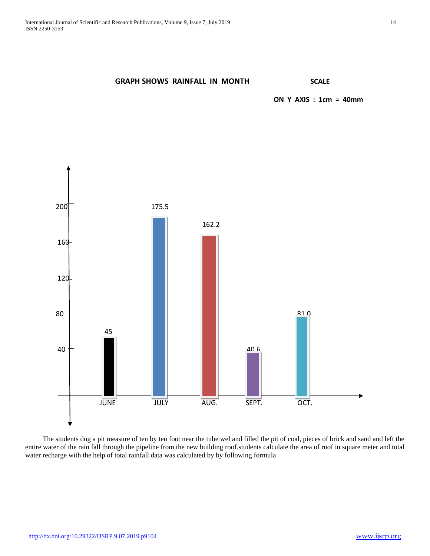





 The students dug a pit measure of ten by ten foot near the tube wel and filled the pit of coal, pieces of brick and sand and left the entire water of the rain fall through the pipeline from the new building roof.students calculate the area of roof in square meter and total water recharge with the help of total rainfall data was calculated by by following formula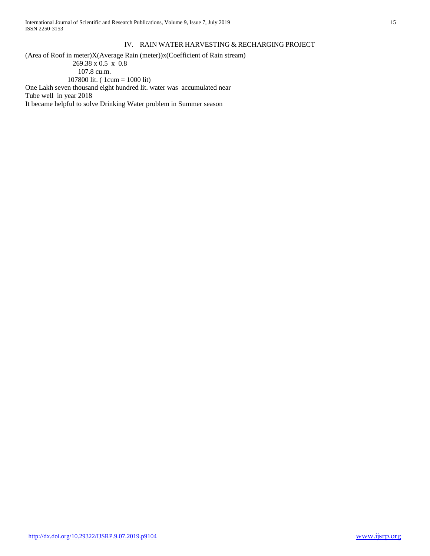# IV. RAIN WATER HARVESTING & RECHARGING PROJECT

(Area of Roof in meter)X(Average Rain (meter))x(Coefficient of Rain stream) 269.38 x 0.5 x 0.8 107.8 cu.m. 107800 lit. ( 1cum = 1000 lit) One Lakh seven thousand eight hundred lit. water was accumulated near Tube well in year 2018

It became helpful to solve Drinking Water problem in Summer season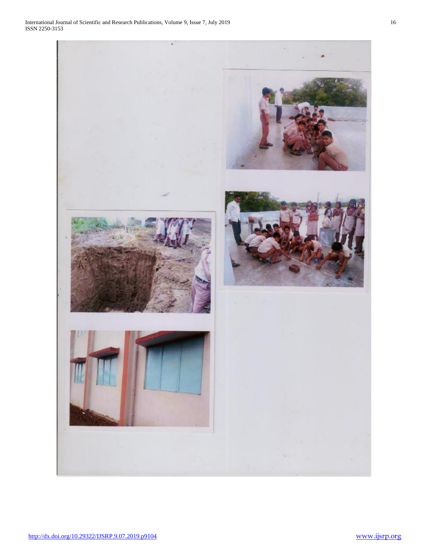